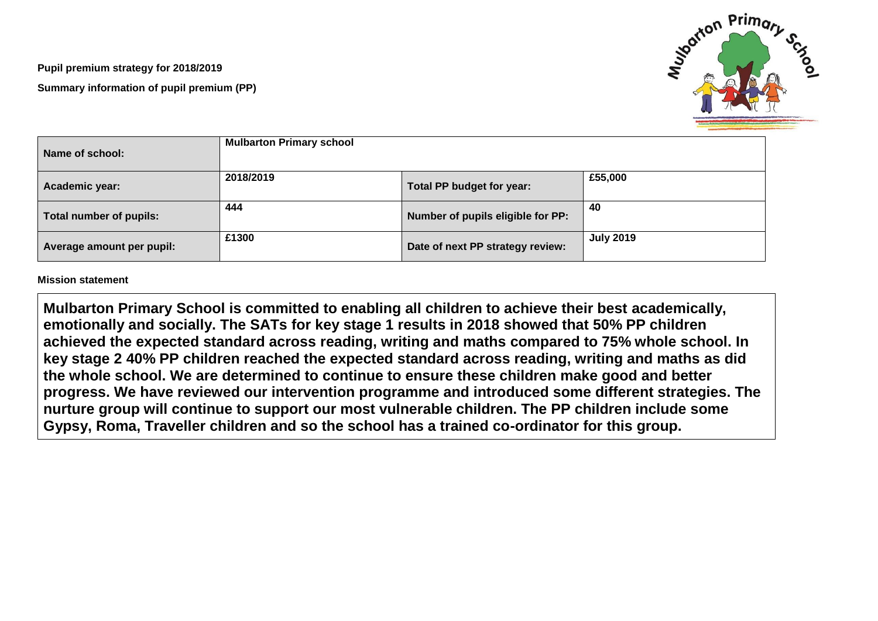**Pupil premium strategy for 2018/2019 Summary information of pupil premium (PP)**



| Name of school:           | <b>Mulbarton Primary school</b> |                                   |                  |
|---------------------------|---------------------------------|-----------------------------------|------------------|
| Academic year:            | 2018/2019                       | Total PP budget for year:         | £55,000          |
| Total number of pupils:   | 444                             | Number of pupils eligible for PP: | 40               |
| Average amount per pupil: | £1300                           | Date of next PP strategy review:  | <b>July 2019</b> |

## **Mission statement**

**Mulbarton Primary School is committed to enabling all children to achieve their best academically, emotionally and socially. The SATs for key stage 1 results in 2018 showed that 50% PP children achieved the expected standard across reading, writing and maths compared to 75% whole school. In key stage 2 40% PP children reached the expected standard across reading, writing and maths as did the whole school. We are determined to continue to ensure these children make good and better progress. We have reviewed our intervention programme and introduced some different strategies. The nurture group will continue to support our most vulnerable children. The PP children include some Gypsy, Roma, Traveller children and so the school has a trained co-ordinator for this group.**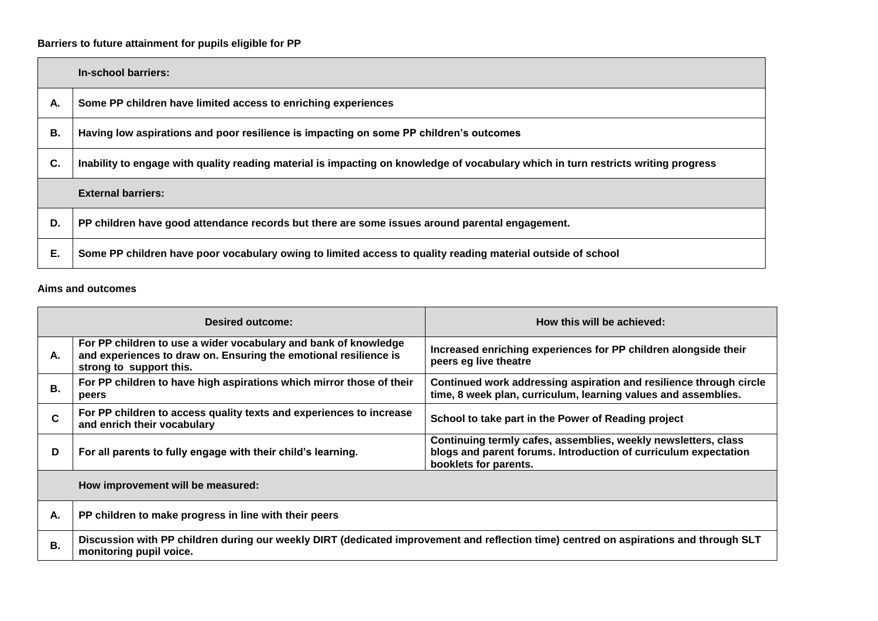## **Barriers to future attainment for pupils eligible for PP**

|    | In-school barriers:                                                                                                                |
|----|------------------------------------------------------------------------------------------------------------------------------------|
| А. | Some PP children have limited access to enriching experiences                                                                      |
| В. | Having low aspirations and poor resilience is impacting on some PP children's outcomes                                             |
| C. | Inability to engage with quality reading material is impacting on knowledge of vocabulary which in turn restricts writing progress |
|    | <b>External barriers:</b>                                                                                                          |
| D. | PP children have good attendance records but there are some issues around parental engagement.                                     |
| Е. | Some PP children have poor vocabulary owing to limited access to quality reading material outside of school                        |

## **Aims and outcomes**

|                                   | <b>Desired outcome:</b>                                                                                                                                          | How this will be achieved:                                                                                                                                 |  |  |  |
|-----------------------------------|------------------------------------------------------------------------------------------------------------------------------------------------------------------|------------------------------------------------------------------------------------------------------------------------------------------------------------|--|--|--|
| А.                                | For PP children to use a wider vocabulary and bank of knowledge<br>and experiences to draw on. Ensuring the emotional resilience is<br>strong to support this.   | Increased enriching experiences for PP children alongside their<br>peers eg live theatre                                                                   |  |  |  |
| В.                                | For PP children to have high aspirations which mirror those of their<br>peers                                                                                    | Continued work addressing aspiration and resilience through circle<br>time, 8 week plan, curriculum, learning values and assemblies.                       |  |  |  |
| C                                 | For PP children to access quality texts and experiences to increase<br>and enrich their vocabulary                                                               | School to take part in the Power of Reading project                                                                                                        |  |  |  |
| D                                 | For all parents to fully engage with their child's learning.                                                                                                     | Continuing termly cafes, assemblies, weekly newsletters, class<br>blogs and parent forums. Introduction of curriculum expectation<br>booklets for parents. |  |  |  |
| How improvement will be measured: |                                                                                                                                                                  |                                                                                                                                                            |  |  |  |
| А.                                | PP children to make progress in line with their peers                                                                                                            |                                                                                                                                                            |  |  |  |
| В.                                | Discussion with PP children during our weekly DIRT (dedicated improvement and reflection time) centred on aspirations and through SLT<br>monitoring pupil voice. |                                                                                                                                                            |  |  |  |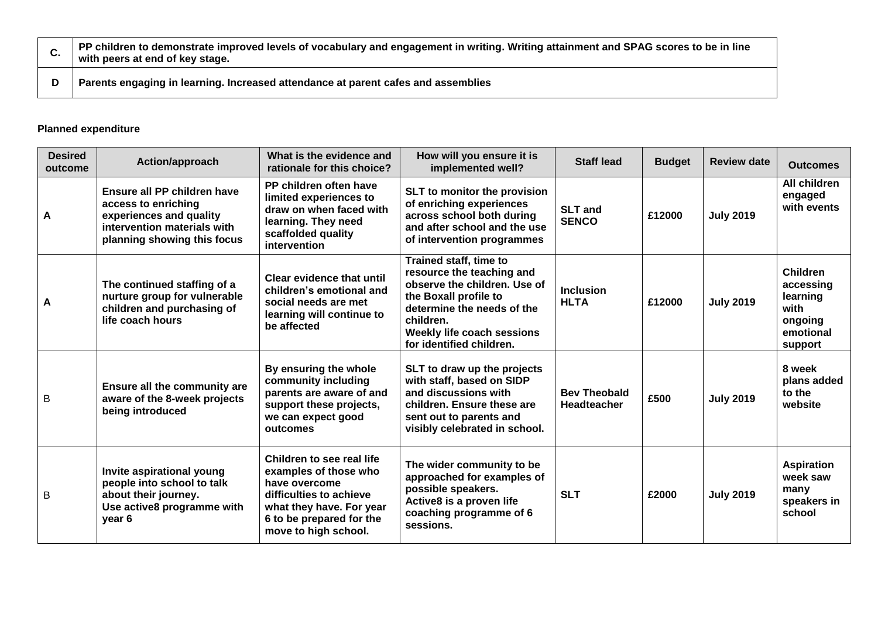| PP children to demonstrate improved levels of vocabulary and engagement in writing. Writing attainment and SPAG scores to be in line<br>with peers at end of key stage. |
|-------------------------------------------------------------------------------------------------------------------------------------------------------------------------|
| Parents engaging in learning. Increased attendance at parent cafes and assemblies                                                                                       |

## **Planned expenditure**

| <b>Desired</b><br>outcome | Action/approach                                                                                                                             | What is the evidence and<br>rationale for this choice?                                                                                                                         | How will you ensure it is<br>implemented well?                                                                                                                                                                    | <b>Staff lead</b>                         | <b>Budget</b> | <b>Review date</b> | <b>Outcomes</b>                                                                     |
|---------------------------|---------------------------------------------------------------------------------------------------------------------------------------------|--------------------------------------------------------------------------------------------------------------------------------------------------------------------------------|-------------------------------------------------------------------------------------------------------------------------------------------------------------------------------------------------------------------|-------------------------------------------|---------------|--------------------|-------------------------------------------------------------------------------------|
| A                         | Ensure all PP children have<br>access to enriching<br>experiences and quality<br>intervention materials with<br>planning showing this focus | PP children often have<br>limited experiences to<br>draw on when faced with<br>learning. They need<br>scaffolded quality<br>intervention                                       | SLT to monitor the provision<br>of enriching experiences<br>across school both during<br>and after school and the use<br>of intervention programmes                                                               | <b>SLT and</b><br><b>SENCO</b>            | £12000        | <b>July 2019</b>   | All children<br>engaged<br>with events                                              |
| A                         | The continued staffing of a<br>nurture group for vulnerable<br>children and purchasing of<br>life coach hours                               | <b>Clear evidence that until</b><br>children's emotional and<br>social needs are met<br>learning will continue to<br>be affected                                               | Trained staff, time to<br>resource the teaching and<br>observe the children. Use of<br>the Boxall profile to<br>determine the needs of the<br>children.<br>Weekly life coach sessions<br>for identified children. | <b>Inclusion</b><br><b>HLTA</b>           | £12000        | <b>July 2019</b>   | <b>Children</b><br>accessing<br>learning<br>with<br>ongoing<br>emotional<br>support |
| B                         | Ensure all the community are<br>aware of the 8-week projects<br>being introduced                                                            | By ensuring the whole<br>community including<br>parents are aware of and<br>support these projects,<br>we can expect good<br>outcomes                                          | SLT to draw up the projects<br>with staff, based on SIDP<br>and discussions with<br>children. Ensure these are<br>sent out to parents and<br>visibly celebrated in school.                                        | <b>Bev Theobald</b><br><b>Headteacher</b> | £500          | <b>July 2019</b>   | 8 week<br>plans added<br>to the<br>website                                          |
| B                         | Invite aspirational young<br>people into school to talk<br>about their journey.<br>Use active8 programme with<br>year 6                     | Children to see real life<br>examples of those who<br>have overcome<br>difficulties to achieve<br>what they have. For year<br>6 to be prepared for the<br>move to high school. | The wider community to be<br>approached for examples of<br>possible speakers.<br>Active8 is a proven life<br>coaching programme of 6<br>sessions.                                                                 | <b>SLT</b>                                | £2000         | <b>July 2019</b>   | <b>Aspiration</b><br>week saw<br>many<br>speakers in<br>school                      |